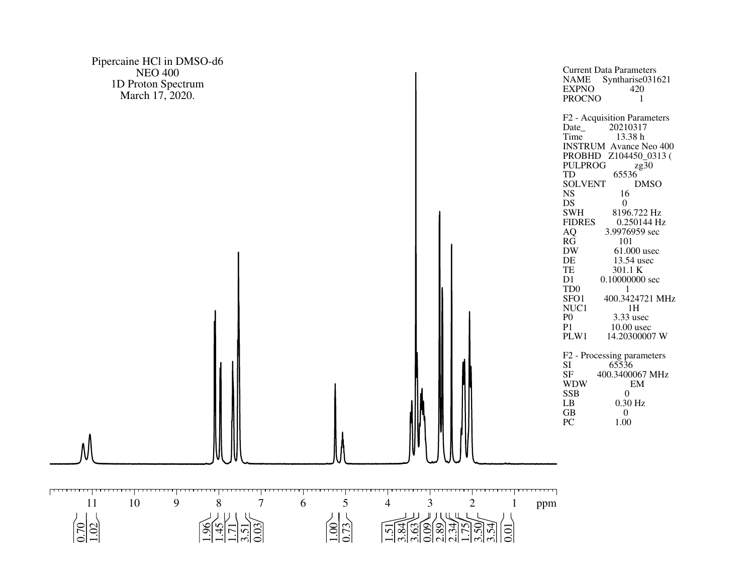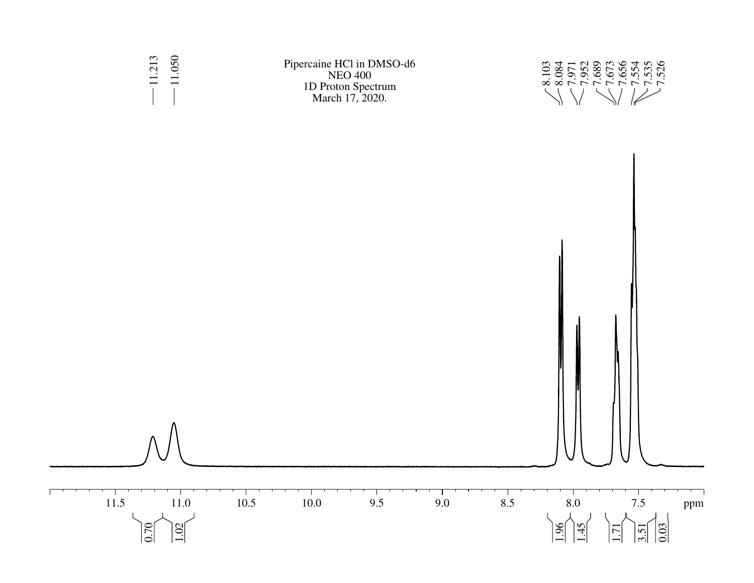

Pipercaine HCl in DMSO-d6 NEO 400 1D Proton Spectrum March 17, 2020.